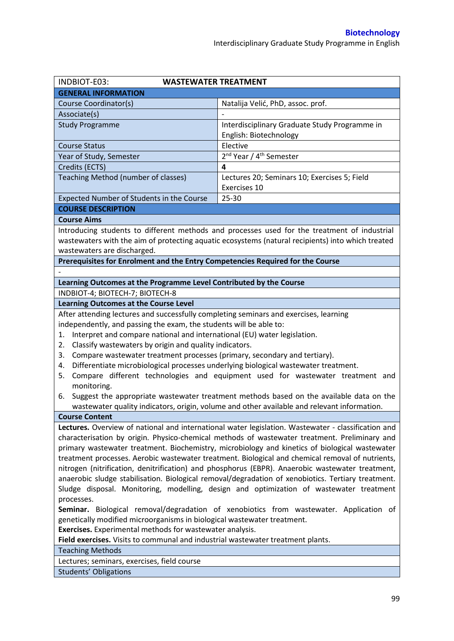| <b>GENERAL INFORMATION</b><br>Course Coordinator(s)<br>Natalija Velić, PhD, assoc. prof.<br>Associate(s)<br>Interdisciplinary Graduate Study Programme in<br><b>Study Programme</b><br>English: Biotechnology<br>Elective<br><b>Course Status</b><br>2 <sup>nd</sup> Year / 4 <sup>th</sup> Semester<br>Year of Study, Semester<br>$\overline{\mathbf{4}}$<br>Credits (ECTS)<br>Teaching Method (number of classes)<br>Lectures 20; Seminars 10; Exercises 5; Field<br>Exercises 10<br>Expected Number of Students in the Course<br>25-30<br><b>COURSE DESCRIPTION</b><br><b>Course Aims</b><br>Introducing students to different methods and processes used for the treatment of industrial<br>wastewaters with the aim of protecting aquatic ecosystems (natural recipients) into which treated<br>wastewaters are discharged.<br>Prerequisites for Enrolment and the Entry Competencies Required for the Course<br>Learning Outcomes at the Programme Level Contributed by the Course |  |  |  |  |  |
|------------------------------------------------------------------------------------------------------------------------------------------------------------------------------------------------------------------------------------------------------------------------------------------------------------------------------------------------------------------------------------------------------------------------------------------------------------------------------------------------------------------------------------------------------------------------------------------------------------------------------------------------------------------------------------------------------------------------------------------------------------------------------------------------------------------------------------------------------------------------------------------------------------------------------------------------------------------------------------------|--|--|--|--|--|
|                                                                                                                                                                                                                                                                                                                                                                                                                                                                                                                                                                                                                                                                                                                                                                                                                                                                                                                                                                                          |  |  |  |  |  |
|                                                                                                                                                                                                                                                                                                                                                                                                                                                                                                                                                                                                                                                                                                                                                                                                                                                                                                                                                                                          |  |  |  |  |  |
|                                                                                                                                                                                                                                                                                                                                                                                                                                                                                                                                                                                                                                                                                                                                                                                                                                                                                                                                                                                          |  |  |  |  |  |
|                                                                                                                                                                                                                                                                                                                                                                                                                                                                                                                                                                                                                                                                                                                                                                                                                                                                                                                                                                                          |  |  |  |  |  |
|                                                                                                                                                                                                                                                                                                                                                                                                                                                                                                                                                                                                                                                                                                                                                                                                                                                                                                                                                                                          |  |  |  |  |  |
|                                                                                                                                                                                                                                                                                                                                                                                                                                                                                                                                                                                                                                                                                                                                                                                                                                                                                                                                                                                          |  |  |  |  |  |
|                                                                                                                                                                                                                                                                                                                                                                                                                                                                                                                                                                                                                                                                                                                                                                                                                                                                                                                                                                                          |  |  |  |  |  |
|                                                                                                                                                                                                                                                                                                                                                                                                                                                                                                                                                                                                                                                                                                                                                                                                                                                                                                                                                                                          |  |  |  |  |  |
|                                                                                                                                                                                                                                                                                                                                                                                                                                                                                                                                                                                                                                                                                                                                                                                                                                                                                                                                                                                          |  |  |  |  |  |
|                                                                                                                                                                                                                                                                                                                                                                                                                                                                                                                                                                                                                                                                                                                                                                                                                                                                                                                                                                                          |  |  |  |  |  |
|                                                                                                                                                                                                                                                                                                                                                                                                                                                                                                                                                                                                                                                                                                                                                                                                                                                                                                                                                                                          |  |  |  |  |  |
|                                                                                                                                                                                                                                                                                                                                                                                                                                                                                                                                                                                                                                                                                                                                                                                                                                                                                                                                                                                          |  |  |  |  |  |
|                                                                                                                                                                                                                                                                                                                                                                                                                                                                                                                                                                                                                                                                                                                                                                                                                                                                                                                                                                                          |  |  |  |  |  |
|                                                                                                                                                                                                                                                                                                                                                                                                                                                                                                                                                                                                                                                                                                                                                                                                                                                                                                                                                                                          |  |  |  |  |  |
|                                                                                                                                                                                                                                                                                                                                                                                                                                                                                                                                                                                                                                                                                                                                                                                                                                                                                                                                                                                          |  |  |  |  |  |
|                                                                                                                                                                                                                                                                                                                                                                                                                                                                                                                                                                                                                                                                                                                                                                                                                                                                                                                                                                                          |  |  |  |  |  |
|                                                                                                                                                                                                                                                                                                                                                                                                                                                                                                                                                                                                                                                                                                                                                                                                                                                                                                                                                                                          |  |  |  |  |  |
|                                                                                                                                                                                                                                                                                                                                                                                                                                                                                                                                                                                                                                                                                                                                                                                                                                                                                                                                                                                          |  |  |  |  |  |
|                                                                                                                                                                                                                                                                                                                                                                                                                                                                                                                                                                                                                                                                                                                                                                                                                                                                                                                                                                                          |  |  |  |  |  |
|                                                                                                                                                                                                                                                                                                                                                                                                                                                                                                                                                                                                                                                                                                                                                                                                                                                                                                                                                                                          |  |  |  |  |  |
| INDBIOT-4; BIOTECH-7; BIOTECH-8                                                                                                                                                                                                                                                                                                                                                                                                                                                                                                                                                                                                                                                                                                                                                                                                                                                                                                                                                          |  |  |  |  |  |
| <b>Learning Outcomes at the Course Level</b>                                                                                                                                                                                                                                                                                                                                                                                                                                                                                                                                                                                                                                                                                                                                                                                                                                                                                                                                             |  |  |  |  |  |
| After attending lectures and successfully completing seminars and exercises, learning                                                                                                                                                                                                                                                                                                                                                                                                                                                                                                                                                                                                                                                                                                                                                                                                                                                                                                    |  |  |  |  |  |
| independently, and passing the exam, the students will be able to:                                                                                                                                                                                                                                                                                                                                                                                                                                                                                                                                                                                                                                                                                                                                                                                                                                                                                                                       |  |  |  |  |  |
| Interpret and compare national and international (EU) water legislation.<br>1.                                                                                                                                                                                                                                                                                                                                                                                                                                                                                                                                                                                                                                                                                                                                                                                                                                                                                                           |  |  |  |  |  |
| Classify wastewaters by origin and quality indicators.<br>2.                                                                                                                                                                                                                                                                                                                                                                                                                                                                                                                                                                                                                                                                                                                                                                                                                                                                                                                             |  |  |  |  |  |
| Compare wastewater treatment processes (primary, secondary and tertiary).<br>3.                                                                                                                                                                                                                                                                                                                                                                                                                                                                                                                                                                                                                                                                                                                                                                                                                                                                                                          |  |  |  |  |  |
| Differentiate microbiological processes underlying biological wastewater treatment.<br>4.                                                                                                                                                                                                                                                                                                                                                                                                                                                                                                                                                                                                                                                                                                                                                                                                                                                                                                |  |  |  |  |  |
| Compare different technologies and equipment used for wastewater treatment and<br>5.                                                                                                                                                                                                                                                                                                                                                                                                                                                                                                                                                                                                                                                                                                                                                                                                                                                                                                     |  |  |  |  |  |
| monitoring.                                                                                                                                                                                                                                                                                                                                                                                                                                                                                                                                                                                                                                                                                                                                                                                                                                                                                                                                                                              |  |  |  |  |  |
| Suggest the appropriate wastewater treatment methods based on the available data on the<br>6.                                                                                                                                                                                                                                                                                                                                                                                                                                                                                                                                                                                                                                                                                                                                                                                                                                                                                            |  |  |  |  |  |
| wastewater quality indicators, origin, volume and other available and relevant information.                                                                                                                                                                                                                                                                                                                                                                                                                                                                                                                                                                                                                                                                                                                                                                                                                                                                                              |  |  |  |  |  |
|                                                                                                                                                                                                                                                                                                                                                                                                                                                                                                                                                                                                                                                                                                                                                                                                                                                                                                                                                                                          |  |  |  |  |  |
| <b>Course Content</b>                                                                                                                                                                                                                                                                                                                                                                                                                                                                                                                                                                                                                                                                                                                                                                                                                                                                                                                                                                    |  |  |  |  |  |
| Lectures. Overview of national and international water legislation. Wastewater - classification and                                                                                                                                                                                                                                                                                                                                                                                                                                                                                                                                                                                                                                                                                                                                                                                                                                                                                      |  |  |  |  |  |
| characterisation by origin. Physico-chemical methods of wastewater treatment. Preliminary and                                                                                                                                                                                                                                                                                                                                                                                                                                                                                                                                                                                                                                                                                                                                                                                                                                                                                            |  |  |  |  |  |
| primary wastewater treatment. Biochemistry, microbiology and kinetics of biological wastewater                                                                                                                                                                                                                                                                                                                                                                                                                                                                                                                                                                                                                                                                                                                                                                                                                                                                                           |  |  |  |  |  |
| treatment processes. Aerobic wastewater treatment. Biological and chemical removal of nutrients,                                                                                                                                                                                                                                                                                                                                                                                                                                                                                                                                                                                                                                                                                                                                                                                                                                                                                         |  |  |  |  |  |
| nitrogen (nitrification, denitrification) and phosphorus (EBPR). Anaerobic wastewater treatment,                                                                                                                                                                                                                                                                                                                                                                                                                                                                                                                                                                                                                                                                                                                                                                                                                                                                                         |  |  |  |  |  |
| anaerobic sludge stabilisation. Biological removal/degradation of xenobiotics. Tertiary treatment.                                                                                                                                                                                                                                                                                                                                                                                                                                                                                                                                                                                                                                                                                                                                                                                                                                                                                       |  |  |  |  |  |
| Sludge disposal. Monitoring, modelling, design and optimization of wastewater treatment                                                                                                                                                                                                                                                                                                                                                                                                                                                                                                                                                                                                                                                                                                                                                                                                                                                                                                  |  |  |  |  |  |
| processes.                                                                                                                                                                                                                                                                                                                                                                                                                                                                                                                                                                                                                                                                                                                                                                                                                                                                                                                                                                               |  |  |  |  |  |
| Seminar. Biological removal/degradation of xenobiotics from wastewater. Application of                                                                                                                                                                                                                                                                                                                                                                                                                                                                                                                                                                                                                                                                                                                                                                                                                                                                                                   |  |  |  |  |  |
| genetically modified microorganisms in biological wastewater treatment.                                                                                                                                                                                                                                                                                                                                                                                                                                                                                                                                                                                                                                                                                                                                                                                                                                                                                                                  |  |  |  |  |  |
| <b>Exercises.</b> Experimental methods for wastewater analysis.                                                                                                                                                                                                                                                                                                                                                                                                                                                                                                                                                                                                                                                                                                                                                                                                                                                                                                                          |  |  |  |  |  |
| Field exercises. Visits to communal and industrial wastewater treatment plants.                                                                                                                                                                                                                                                                                                                                                                                                                                                                                                                                                                                                                                                                                                                                                                                                                                                                                                          |  |  |  |  |  |
| <b>Teaching Methods</b>                                                                                                                                                                                                                                                                                                                                                                                                                                                                                                                                                                                                                                                                                                                                                                                                                                                                                                                                                                  |  |  |  |  |  |
| Lectures; seminars, exercises, field course                                                                                                                                                                                                                                                                                                                                                                                                                                                                                                                                                                                                                                                                                                                                                                                                                                                                                                                                              |  |  |  |  |  |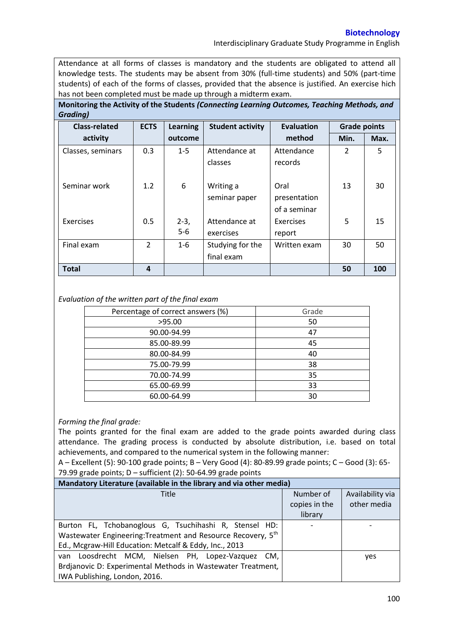## **Biotechnology**

Interdisciplinary Graduate Study Programme in English

Attendance at all forms of classes is mandatory and the students are obligated to attend all knowledge tests. The students may be absent from 30% (full-time students) and 50% (part-time students) of each of the forms of classes, provided that the absence is justified. An exercise hich has not been completed must be made up through a midterm exam.

**Monitoring the Activity of the Students** *(Connecting Learning Outcomes, Teaching Methods, and Grading)*

| <b>Class-related</b> | <b>ECTS</b>   | <b>Learning</b> | <b>Student activity</b> | <b>Evaluation</b> | <b>Grade points</b> |      |
|----------------------|---------------|-----------------|-------------------------|-------------------|---------------------|------|
| activity             |               | outcome         |                         | method            | Min.                | Max. |
| Classes, seminars    | 0.3           | $1 - 5$         | Attendance at           | Attendance        | 2                   | 5    |
|                      |               |                 | classes                 | records           |                     |      |
|                      |               |                 |                         |                   |                     |      |
| Seminar work         | 1.2           | 6               | Writing a               | Oral              | 13                  | 30   |
|                      |               |                 | seminar paper           | presentation      |                     |      |
|                      |               |                 |                         | of a seminar      |                     |      |
| Exercises            | 0.5           | $2-3,$          | Attendance at           | Exercises         | 5                   | 15   |
|                      |               | $5-6$           | exercises               | report            |                     |      |
| Final exam           | $\mathcal{P}$ | $1 - 6$         | Studying for the        | Written exam      | 30                  | 50   |
|                      |               |                 | final exam              |                   |                     |      |
| <b>Total</b>         | 4             |                 |                         |                   | 50                  | 100  |

### *Evaluation of the written part of the final exam*

| Percentage of correct answers (%) | Grade |
|-----------------------------------|-------|
| >95.00                            | 50    |
| 90.00-94.99                       | 47    |
| 85.00-89.99                       | 45    |
| 80.00-84.99                       | 40    |
| 75.00-79.99                       | 38    |
| 70.00-74.99                       | 35    |
| 65.00-69.99                       | 33    |
| 60.00-64.99                       | 30    |

# *Forming the final grade:*

The points granted for the final exam are added to the grade points awarded during class attendance. The grading process is conducted by absolute distribution, i.e. based on total achievements, and compared to the numerical system in the following manner:

A – Excellent (5): 90-100 grade points; B – Very Good (4): 80-89.99 grade points; C – Good (3): 65- 79.99 grade points;  $D$  – sufficient (2): 50-64.99 grade points

| Mandatory Literature (available in the library and via other media) |               |                  |  |  |  |  |  |
|---------------------------------------------------------------------|---------------|------------------|--|--|--|--|--|
| Title                                                               | Number of     | Availability via |  |  |  |  |  |
|                                                                     | copies in the | other media      |  |  |  |  |  |
|                                                                     | library       |                  |  |  |  |  |  |
| Burton FL, Tchobanoglous G, Tsuchihashi R, Stensel HD:              |               |                  |  |  |  |  |  |
| Wastewater Engineering: Treatment and Resource Recovery, 5th        |               |                  |  |  |  |  |  |
| Ed., Mcgraw-Hill Education: Metcalf & Eddy, Inc., 2013              |               |                  |  |  |  |  |  |
| Loosdrecht MCM, Nielsen PH, Lopez-Vazquez CM,<br>van                |               | yes              |  |  |  |  |  |
| Brdjanovic D: Experimental Methods in Wastewater Treatment,         |               |                  |  |  |  |  |  |
| IWA Publishing, London, 2016.                                       |               |                  |  |  |  |  |  |